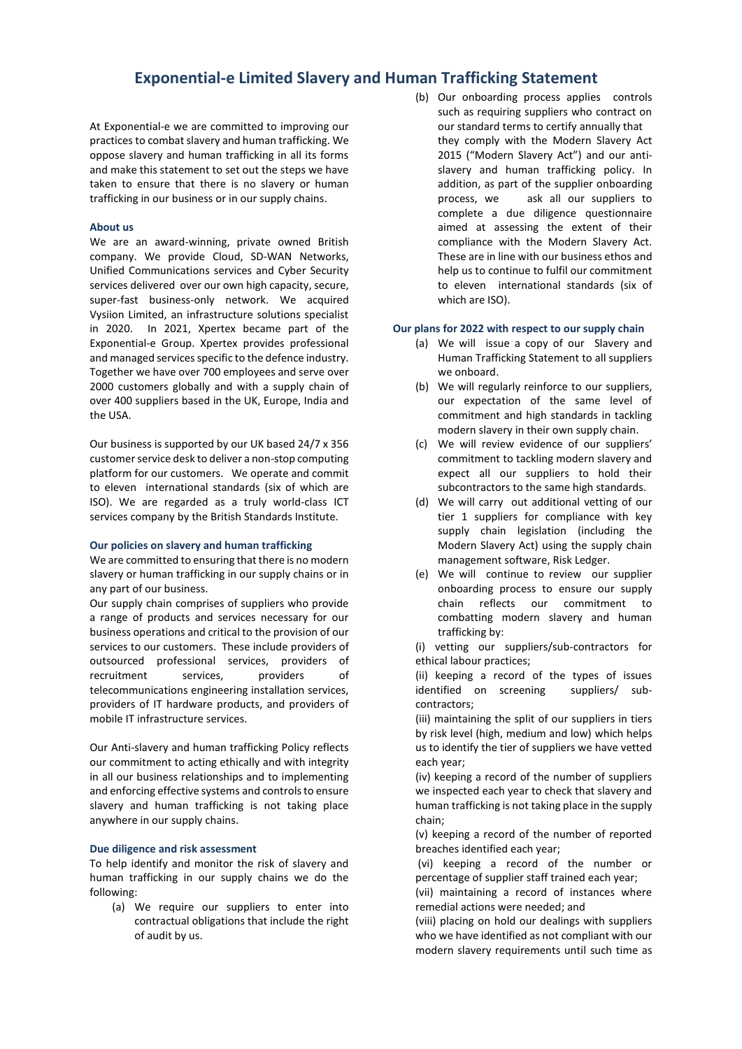# **Exponential-e Limited Slavery and Human Trafficking Statement**

At Exponential-e we are committed to improving our practices to combat slavery and human trafficking. We oppose slavery and human trafficking in all its forms and make this statement to set out the steps we have taken to ensure that there is no slavery or human trafficking in our business or in our supply chains.

#### **About us**

We are an award-winning, private owned British company. We provide Cloud, SD-WAN Networks, Unified Communications services and Cyber Security services delivered over our own high capacity, secure, super-fast business-only network. We acquired Vysiion Limited, an infrastructure solutions specialist in 2020. In 2021, Xpertex became part of the Exponential-e Group. Xpertex provides professional and managed services specific to the defence industry. Together we have over 700 employees and serve over 2000 customers globally and with a supply chain of over 400 suppliers based in the UK, Europe, India and the USA.

Our business is supported by our UK based 24/7 x 356 customer service desk to deliver a non-stop computing platform for our customers. We operate and commit to eleven international standards (six of which are ISO). We are regarded as a truly world-class ICT services company by the British Standards Institute.

#### **Our policies on slavery and human trafficking**

We are committed to ensuring that there is no modern slavery or human trafficking in our supply chains or in any part of our business.

Our supply chain comprises of suppliers who provide a range of products and services necessary for our business operations and critical to the provision of our services to our customers. These include providers of outsourced professional services, providers of recruitment services. providers of telecommunications engineering installation services, providers of IT hardware products, and providers of mobile IT infrastructure services.

Our Anti-slavery and human trafficking Policy reflects our commitment to acting ethically and with integrity in all our business relationships and to implementing and enforcing effective systems and controls to ensure slavery and human trafficking is not taking place anywhere in our supply chains.

#### **Due diligence and risk assessment**

To help identify and monitor the risk of slavery and human trafficking in our supply chains we do the following:

(a) We require our suppliers to enter into contractual obligations that include the right of audit by us.

(b) Our onboarding process applies controls such as requiring suppliers who contract on our standard terms to certify annually that they comply with the Modern Slavery Act 2015 ("Modern Slavery Act") and our antislavery and human trafficking policy. In addition, as part of the supplier onboarding process, we ask all our suppliers to complete a due diligence questionnaire aimed at assessing the extent of their compliance with the Modern Slavery Act. These are in line with our business ethos and help us to continue to fulfil our commitment to eleven international standards (six of which are ISO).

#### **Our plans for 2022 with respect to our supply chain**

- (a) We will issue a copy of our Slavery and Human Trafficking Statement to all suppliers we onboard.
- (b) We will regularly reinforce to our suppliers, our expectation of the same level of commitment and high standards in tackling modern slavery in their own supply chain.
- (c) We will review evidence of our suppliers' commitment to tackling modern slavery and expect all our suppliers to hold their subcontractors to the same high standards.
- (d) We will carry out additional vetting of our tier 1 suppliers for compliance with key supply chain legislation (including the Modern Slavery Act) using the supply chain management software, Risk Ledger.
- (e) We will continue to review our supplier onboarding process to ensure our supply chain reflects our commitment to combatting modern slavery and human trafficking by:

(i) vetting our suppliers/sub-contractors for ethical labour practices;

(ii) keeping a record of the types of issues identified on screening suppliers/ subcontractors;

(iii) maintaining the split of our suppliers in tiers by risk level (high, medium and low) which helps us to identify the tier of suppliers we have vetted each year;

(iv) keeping a record of the number of suppliers we inspected each year to check that slavery and human trafficking is not taking place in the supply chain;

(v) keeping a record of the number of reported breaches identified each year;

(vi) keeping a record of the number or percentage of supplier staff trained each year;

(vii) maintaining a record of instances where remedial actions were needed; and

(viii) placing on hold our dealings with suppliers who we have identified as not compliant with our modern slavery requirements until such time as